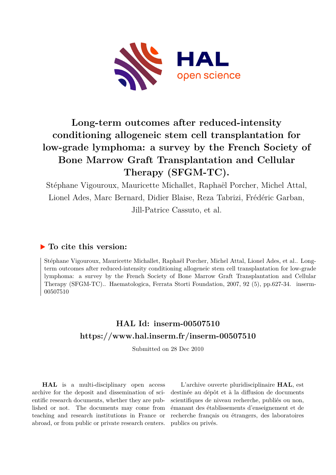

# **Long-term outcomes after reduced-intensity conditioning allogeneic stem cell transplantation for low-grade lymphoma: a survey by the French Society of Bone Marrow Graft Transplantation and Cellular Therapy (SFGM-TC).**

Stéphane Vigouroux, Mauricette Michallet, Raphaël Porcher, Michel Attal, Lionel Ades, Marc Bernard, Didier Blaise, Reza Tabrizi, Frédéric Garban, Jill-Patrice Cassuto, et al.

# **To cite this version:**

Stéphane Vigouroux, Mauricette Michallet, Raphaël Porcher, Michel Attal, Lionel Ades, et al.. Longterm outcomes after reduced-intensity conditioning allogeneic stem cell transplantation for low-grade lymphoma: a survey by the French Society of Bone Marrow Graft Transplantation and Cellular Therapy (SFGM-TC).. Haematologica, Ferrata Storti Foundation, 2007, 92 (5), pp.627-34. inserm-00507510ff

# **HAL Id: inserm-00507510 <https://www.hal.inserm.fr/inserm-00507510>**

Submitted on 28 Dec 2010

**HAL** is a multi-disciplinary open access archive for the deposit and dissemination of scientific research documents, whether they are published or not. The documents may come from teaching and research institutions in France or abroad, or from public or private research centers.

L'archive ouverte pluridisciplinaire **HAL**, est destinée au dépôt et à la diffusion de documents scientifiques de niveau recherche, publiés ou non, émanant des établissements d'enseignement et de recherche français ou étrangers, des laboratoires publics ou privés.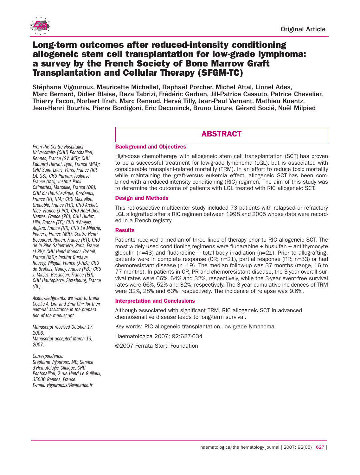

*From the Centre Hospitalier Universitaire (CHU) Pontchaillou, Rennes, France (SV, MB); CHU Edouard Herriot, Lyon, France (MM); CHU Saint-Louis, Paris, France (RP, LA, GS); CHU Purpan, Toulouse, France (MA); Institut Paoli-Calmettes, Marseille, France (DB); CHU du Haut-Levêque, Bordeaux, France (RT, NM); CHU Michallon, Grenoble, France (FG); CHU Archet, Nice, France (J-PC); CHU Hôtel Dieu, Nantes, France (PC); CHU Huriez, Lille, France (TF); CHU d'Angers, Angers, France (NI); CHU La Miletrie, Poitiers, France (MR); Centre Henri-Becquerel, Rouen, France (HT); CHU de la Pitié Salpetrière, Paris, France (J-PV); CHU Henri Mondor, Créteil, France (MK); Institut Gustave Roussy, Villejuif, France (J-HB); CHU de Brabois, Nancy, France (PB); CHU J. Minjoz, Besançon, France (ED); CHU Hautepierre, Strasbourg, France*

# **Long-term outcomes after reduced-intensity conditioning allogeneic stem cell transplantation for low-grade lymphoma: a survey by the French Society of Bone Marrow Graft Transplantation and Cellular Therapy (SFGM-TC)**

Stéphane Vigouroux, Mauricette Michallet, Raphaël Porcher, Michel Attal, Lionel Ades, Marc Bernard, Didier Blaise, Reza Tabrizi, Frédéric Garban, Jill-Patrice Cassuto, Patrice Chevalier, Thierry Facon, Norbert Ifrah, Marc Renaud, Hervé Tilly, Jean-Paul Vernant, Mathieu Kuentz, Jean-Henri Bourhis, Pierre Bordigoni, Eric Deconinck, Bruno Lioure, Gérard Socié, Noël Milpied

# **ABSTRACT**

# **Background and Objectives**

High-dose chemotherapy with allogeneic stem cell transplantation (SCT) has proven to be a successful treatment for low-grade lymphoma (LGL), but is associated with considerable transplant-related mortality (TRM). In an effort to reduce toxic mortality while maintaining the graft-versus-leukemia effect, allogeneic SCT has been combined with a reduced-intensity conditioning (RIC) regimen. The aim of this study was to determine the outcome of patients with LGL treated with RIC allogeneic SCT.

# **Design and Methods**

This retrospective multicenter study included 73 patients with relapsed or refractory LGL allografted after a RIC regimen between 1998 and 2005 whose data were recorded in a French registry.

# **Results**

Patients received a median of three lines of therapy prior to RIC allogeneic SCT. The most widely used conditioning regimens were fludarabine + busulfan + antithymocyte globulin ( $n=43$ ) and fludarabine + total body irradiation ( $n=21$ ). Prior to allografting, patients were in complete response (CR; n=21), partial response (PR; n=33) or had chemoresistant disease (n=19). The median follow-up was 37 months (range, 16 to 77 months). In patients in CR, PR and chemoresistant disease, the 3-year overall survival rates were 66%, 64% and 32%, respectively, while the 3-year event-free survival rates were 66%, 52% and 32%, respectively. The 3-year cumulative incidences of TRM were 32%, 28% and 63%, respectively. The incidence of relapse was 9.6%.

# **Interpretation and Conclusions**

Although associated with significant TRM, RIC allogeneic SCT in advanced chemosensitive disease leads to long-term survival.

Key words: RIC allogeneic transplantation, low-grade lymphoma.

Haematologica 2007; 92:627-634

©2007 Ferrata Storti Foundation

*Stéphane Vigouroux, MD, Service d'Hématologie Clinique, CHU Pontchaillou, 2 rue Henri Le Guilloux, 35000 Rennes, France. E-mail: vigouroux.st@wanadoo.fr*

*Acknowledgments: we wish to thank Cecilia A. Lira and Zina Chir for their editorial assistance in the prepara-*

*Manuscript received October 17,*

*Manuscript accepted March 13,*

*tion of the manuscript.*

*(BL).*

*2006.*

*2007.*

*Correspondence:*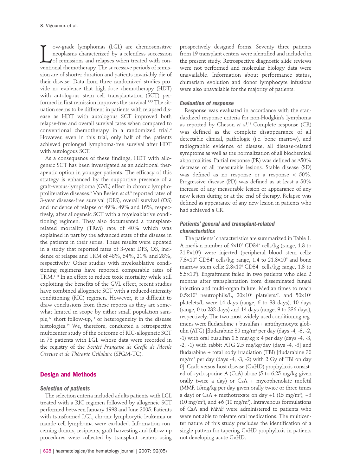ow-grade lymphomas (LGL) are chemosensitive<br>neoplasms characterized by a relentless succession<br>of remissions and relapses when treated with con-<br>ventional chemotherapy. The successive periods of remisow-grade lymphomas (LGL) are chemosensitive neoplasms characterized by a relentless succession of remissions and relapses when treated with consion are of shorter duration and patients invariably die of their disease. Data from three randomized studies provide no evidence that high-dose chemotherapy (HDT) with autologous stem cell transplantation (SCT) performed in first remission improves the survival.<sup>1,2,3</sup> The situation seems to be different in patients with relapsed disease as HDT with autologous SCT improved both relapse-free and overall survival rates when compared to conventional chemotherapy in a randomized trial.<sup>4</sup> However, even in this trial, only half of the patients achieved prolonged lymphoma-free survival after HDT with autologous SCT.

As a consequence of these findings, HDT with allogeneic SCT has been investigated as an additional therapeutic option in younger patients. The efficacy of this strategy is enhanced by the supportive presence of a graft-versus-lymphoma (GVL) effect in chronic lymphoproliferative diseases.<sup>5</sup> Van Besien *et al*.<sup>6</sup> reported rates of 3-year disease-free survival (DFS), overall survival (OS) and incidence of relapse of 49%, 49% and 16%, respectively, after allogeneic SCT with a myeloablative conditioning regimen. They also documented a transplantrelated mortality (TRM) rate of 40% which was explained in part by the advanced state of the disease in the patients in their series. These results were updated in a study that reported rates of 3-year DFS, OS, incidence of relapse and TRM of 48%, 54%, 21% and 28%, respectively. <sup>7</sup> Other studies with myeloablative conditioning regimens have reported comparable rates of TRM.8-11 In an effort to reduce toxic mortality while still exploiting the benefits of the GVL effect, recent studies have combined allogeneic SCT with a reduced-intensity conditioning (RIC) regimen. However, it is difficult to draw conclusions from these reports as they are somewhat limited in scope by either small population sample,<sup>12</sup> short follow-up,<sup>13</sup> or heterogeneity in the disease histologies.<sup>14</sup> We, therefore, conducted a retrospective multicenter study of the outcome of RIC-allogeneic SCT in 73 patients with LGL whose data were recorded in the registry of the *Société Française de Greffe de Moelle Osseuse et de Thérapie Cellulaire* (SFGM-TC).

## **Design and Methods**

#### *Selection of patients*

The selection criteria included adults patients with LGL treated with a RIC regimen followed by allogeneic SCT performed between January 1998 and June 2005. Patients with transformed LGL, chronic lymphocytic leukemia or mantle cell lymphoma were excluded. Information concerning donors, recipients, graft harvesting and follow-up procedures were collected by transplant centers using

prospectively designed forms. Seventy three patients from 19 transplant centers were identified and included in the present study. Retrospective diagnostic slide reviews were not performed and molecular biology data were unavailable. Information about performance status, chimerism evolution and donor lymphocyte infusions were also unavailable for the majority of patients.

#### *Evaluation of response*

Response was evaluated in accordance with the standardized response criteria for non-Hodgkin's lymphoma as reported by Cheson *et al*. <sup>15</sup> Complete response (CR) was defined as the complete disappearance of all detectable clinical, pathologic (i.e. bone marrow), and radiographic evidence of disease, all disease-related symptoms as well as the normalization of all biochemical abnormalities. Partial response (PR) was defined as ≥50% decrease of all measurable lesions. Stable disease (SD) was defined as no response or a response  $< 50\%$ . Progressive disease (PD) was defined as at least a 50% increase of any measurable lesion or appearance of any new lesion during or at the end of therapy. Relapse was defined as appearance of any new lesion in patients who had achieved a CR.

# *Patients' general and transplant-related characteristics*

The patients' characteristics are summarized in Table 1. A median number of  $6\times10^6$  CD34<sup>+</sup> cells/kg (range, 1.3 to 21.8×106 ) were injected (peripheral blood stem cells: 7.3×10 $^{\circ}$  CD34<sup>+</sup> cells/kg; range, 1.4 to 21.8×10 $^{\circ}$  and bone marrow stem cells: 2.8×10<sup>6</sup> CD34<sup>+</sup> cells/kg; range, 1.3 to 5.5×106 ). Engraftment failed in two patients who died 2 months after transplantation from disseminated fungal infection and multi-organ failure. Median times to reach  $0.5\times10^9$  neutrophils/L,  $20\times10^9$  platelets/L and  $50\times10^9$ platelets/L were 14 days (range, 6 to 33 days), 10 days (range, 0 to 232 days) and 14 days (range, 9 to 236 days), respectively. The two most widely used conditioning regimens were fludarabine + busulfan + antithymocyte globulin (ATG) [fludarabine 30 mg/m2 per day (days -4, -3, -2, -1) with oral busulfan 0.5 mg/kg x 4 per day (days -4, -3, -2, -1) with rabbit ATG 2.5 mg/kg/day (days -4, -3] and fludarabine + total body irradiation (TBI) [fludarabine 30 mg/ $m^2$  per day (days -4, -3, -2) with 2 Gy of TBI on day 0]. Graft-versus-host disease (GvHD) prophylaxis consisted of cyclosporine A (CsA) alone (5 to 6.25 mg/kg given orally twice a day) or CsA + mycophenolate mofetil (MMF, 15mg/kg per day given orally twice or three times a day) or CsA + methotrexate on day +1 (15 mg/m2 ), +3 (10 mg/m<sup>2</sup>), and +6 (10 mg/m<sup>2</sup>). Intravenous formulations of CsA and MMF were administered to patients who were not able to tolerate oral medications. The multicenter nature of this study precludes the identification of a single pattern for tapering GvHD prophylaxis in patients not developing acute GvHD.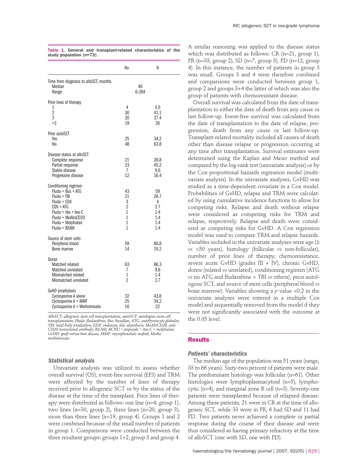|                                                                                                                                                                         | No.                                                                                      | %                                                  |
|-------------------------------------------------------------------------------------------------------------------------------------------------------------------------|------------------------------------------------------------------------------------------|----------------------------------------------------|
| Time from diagnosis to alloSCT, months<br>Median<br>Range                                                                                                               |                                                                                          | 46<br>6-284                                        |
| Prior lines of therapy<br>1<br>$\overline{2}$<br>3<br>>3                                                                                                                | 4<br>30<br>20<br>19                                                                      | 5.5<br>41.1<br>27.4<br>26                          |
| Prior autoSCT<br>Yes<br>No                                                                                                                                              | 25<br>48                                                                                 | 34.2<br>63.8                                       |
| Disease status at alloSCT<br>Complete response<br>Partial response<br>Stable disease<br>Progressive disease                                                             | 21<br>33<br>7<br>12                                                                      | 28.8<br>45.2<br>9.6<br>16.4                        |
| Conditioning regimen<br>Fluda + Bus + ATG<br>Fluda + TBI<br>Fluda + EDX<br>$EDX + ATG$<br>Fluda + Ida + Ara-C<br>Fluda + MoAbsCD20<br>Fluda + Melphalan<br>Fluda + BEAM | 43<br>21<br>3<br>$\overline{2}$<br>$\overline{1}$<br>$\overline{1}$<br>$\mathbf{1}$<br>1 | 59<br>28.7<br>4<br>2.7<br>1.4<br>1.4<br>1.4<br>1.4 |
| Source of stem cells<br>Peripheral blood<br>Bone marrow                                                                                                                 | 59<br>14                                                                                 | 80.8<br>19.2                                       |
| Donor<br>Matched related<br>Matched unrelated<br>Mismatched related<br>Mismatched unrelated                                                                             | 63<br>7<br>1<br>$\overline{2}$                                                           | 86.3<br>9.6<br>1.4<br>2.7                          |
| GvHD prophylaxis<br>Cyclosporine A alone<br>Cyclosporine A + MMF<br>Cyclosporine A + Methotrexate                                                                       | 32<br>25<br>16                                                                           | 43.8<br>34.2<br>22                                 |

Table 1. General and transplant-related characteristics of the study population (n=73).

*AlloSCT: allogeneic stem cell transplantation; autoSCT: autologous stem cell* transplantation; Fluda: fludarabine; Bus: busulfan; ATG: antithymocyte globulin;<br>TBI: total body irradiation; EDX: endoxan; Ida: idarubicin; MoAbsCD20, anti-<br>CD20 monoclonal antibody; BEAM, BCNU + etoposide + Ara-C + melph *methotrexate.* 

#### *Statistical analysis*

Univariate analysis was utilized to assess whether overall survival (OS), event-free survival (EFS) and TRM were affected by the number of lines of therapy received prior to allogeneic SCT or by the status of the disease at the time of the transplant. Prior lines of therapy were distributed as follows: one line (n=4, group 1), two lines (n=30, group 2), three lines (n=20, group 3), more than three lines (n=19, group 4). Groups 1 and 2 were combined because of the small number of patients in group 1. Comparisons were conducted between the three resultant groups: groups 1+2, group 3 and group 4.

A similar reasoning was applied to the disease status which was distributed as follows: CR (n=21, group 1), PR (n=33, group 2), SD (n=7, group 3), PD (n=12, group 4). In this instance, the number of patients in group 3 was small. Groups 3 and 4 were therefore combined and comparisons were conducted between group 1, group 2 and groups 3+4 the latter of which was also the group of patients with chemoresistant disease.

Overall survival was calculated from the date of transplantation to either the date of death from any cause or last follow-up. Event-free survival was calculated from the date of transplantation to the date of relapse, progression, death from any cause or last follow-up. Transplant-related mortality included all causes of death other than disease relapse or progression occurring at any time after transplantation. Survival estimates were determined using the Kaplan and Meier method and compared by the log-rank test (univariate analysis) or by the Cox proportional hazards regression model (multivariate analysis). In the univariate analyses, GvHD was studied as a time-dependent covariate in a Cox model. Probabilities of GvHD, relapse and TRM were calculated by using cumulative incidence functions to allow for competing risks. Relapse and death without relapse were considered as competing risks for TRM and relapse, respectively. Relapse and death were considered as competing risks for GvHD. A Cox regression model was used to compare TRM and relapse hazards. Variables included in the univariate analyses were age  $(\geq$ *vs* <50 years), histology (follicular *vs* non-follicular), number of prior lines of therapy, chemoresistance, severe acute GvHD (grades  $III + IV$ ), chronic GvHD, donor (related *vs* unrelated), conditioning regimen (ATG *vs* no ATG and fludarabine + TBI *vs* others), prior autologous SCT, and source of stem cells (peripheral blood *vs* bone marrow). Variables showing a *p* value <0.2 in the univariate analyses were entered in a multiple Cox model and sequentially removed from the model if they were not significantly associated with the outcome at the 0.05 level.

#### **Results**

### *Patients' characteristics*

The median age of the population was 51 years (range, 33 to 66 years). Sixty-two percent of patients were male. The predominant histology was follicular (n=61). Other histologies were lymphoplasmacytoid (n=5), lymphocytic (n=4), and marginal zone B cell (n=3). Seventy-one patients were transplanted because of relapsed disease. Among these patients, 21 were in CR at the time of allogeneic SCT, while 33 were in PR, 6 had SD and 11 had PD. Two patients never achieved a complete or partial response during the course of their disease and were thus considered as having primary refractory at the time of alloSCT (one with SD, one with PD).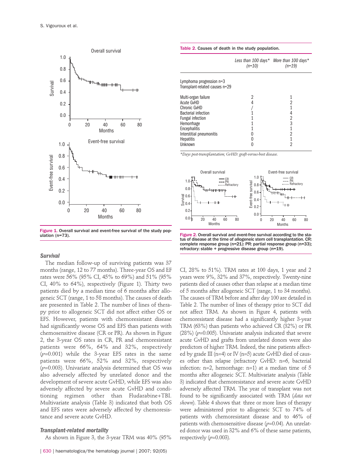

Figure 1. Overall survival and event-free survival of the study pop-<br>ulation (n=73).

## *Survival*

The median follow-up of surviving patients was 37 months (range, 12 to 77 months). Three-year OS and EF rates were 56% (95% CI, 45% to 69%) and 51% (95% CI, 40% to 64%), respectively (Figure 1). Thirty two patients died by a median time of 6 months after allogeneic SCT (range, 1 to 58 months). The causes of death are presented in Table 2. The number of lines of therapy prior to allogeneic SCT did not affect either OS or EFS. However, patients with chemoresistant disease had significantly worse OS and EFS than patients with chemosensitive disease (CR or PR). As shown in Figure 2, the 3-year OS rates in CR, PR and chemoresistant patients were 66%, 64% and 32%, respectively (*p*=0.001) while the 3-year EFS rates in the same patients were 66%, 52% and 32%, respectively (*p*=0.003). Univariate analysis determined that OS was also adversely affected by unrelated donor and the development of severe acute GvHD, while EFS was also adversely affected by severe acute GvHD and conditioning regimen other than Fludarabine+TBI. Multivariate analysis (Table 3) indicated that both OS and EFS rates were adversely affected by chemoresistance and severe acute GvHD.

# *Transplant-related mortality*

As shown in Figure 3, the 3-year TRM was 40% (95%

|                                                                                                                                                                                                 | $(n=10)$ | Less than 100 days* More than 100 days*<br>$(n=19)$ |  |
|-------------------------------------------------------------------------------------------------------------------------------------------------------------------------------------------------|----------|-----------------------------------------------------|--|
| Lymphoma progression $n=3$<br>Transplant-related causes n=29                                                                                                                                    |          |                                                     |  |
| Multi-organ failure<br><b>Acute GvHD</b><br>Chronic GvHD<br><b>Bacterial infection</b><br><b>Fungal infection</b><br>Hemorrhage<br>Encephalitis<br>Interstitial pneumonitis<br><b>Hepatitis</b> |          | 2<br>3<br>2                                         |  |

*\*Days post-transplantation; GvHD: graft-versus-host disease.*



Figure 2. Overall survival and event-free survival according to the status of disease at the time of allogeneic stem cell transplantation. CR: complete response group (n=21): PR: partial response group (n=33); refractory: stable + progressive disease group (n=19).

CI, 28% to 51%). TRM rates at 100 days, 1 year and 2 years were 9%, 32% and 37%, respectively. Twenty-nine patients died of causes other than relapse at a median time of 5 months after allogeneic SCT (range, 1 to 34 months). The causes of TRM before and after day 100 are detailed in Table 2. The number of lines of therapy prior to SCT did not affect TRM. As shown in Figure 4, patients with chemoresistant disease had a significantly higher 3-year TRM (63%) than patients who achieved CR (32%) or PR (28%) (*p*=0.005). Univariate analysis indicated that severe acute GvHD and grafts from unrelated donors were also predictors of higher TRM. Indeed, the nine patients affected by grade III (n=4) or IV (n=5) acute GvHD died of causes other than relapse (refractory GvHD: n=6, bacterial infection:  $n=2$ , hemorrhage:  $n=1$ ) at a median time of 5 months after allogeneic SCT. Multivariate analysis (Table 3) indicated that chemoresistance and severe acute GvHD adversely affected TRM. The year of transplant was not found to be significantly associated with TRM (*data not shown*). Table 4 shows that three or more lines of therapy were administered prior to allogeneic SCT to 74% of patients with chemoresistant disease and to 46% of patients with chemosensitive disease (*p*=0.04). An unrelated donor was used in 32% and 6% of these same patients, respectively  $(p=0.003)$ .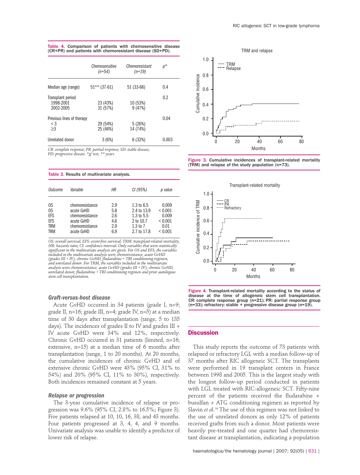|                                                | Chemosensitive<br>$(n=54)$ | Chemoresistant<br>$(n=19)$ | p*    |
|------------------------------------------------|----------------------------|----------------------------|-------|
| Median age (range)                             | $51***$ (37-61)            | 51 (33-66)                 | 0.4   |
| Transplant period<br>1998-2001<br>2002-2005    | 23 (43%)<br>31 (57%)       | 10 (53%)<br>9(47%)         | 0.2   |
| Previous lines of therapy<br>$<$ 3<br>$\geq$ 3 | 29 (54%)<br>25 (46%)       | 5(26%)<br>14 (74%)         | 0.04  |
| Unrelated donor                                | 3(6%)                      | 6(32%)                     | 0.003 |

Table 4. Comparison of patients with chemosensitive disease (CR+PR) and patients with chemoresistant disease (SD+PD).

*CR: complete response; PR: partial response; SD: stable disease; PD: progressive disease. \**χ*<sup>2</sup> test, \*\* years.* 

Table 3. Results of multivariate analysis.

| Outcome                                            | Variable                                                                                        | ΗR                                     | CI (95%)                                                                                | p value                                                             |
|----------------------------------------------------|-------------------------------------------------------------------------------------------------|----------------------------------------|-----------------------------------------------------------------------------------------|---------------------------------------------------------------------|
| 0S<br>OS<br>EFS<br>EFS<br><b>TRM</b><br><b>TRM</b> | chemoresistance<br>acute GvHD<br>chemoresistance<br>acute GvHD<br>chemoresistance<br>acute GvHD | 2.9<br>5.8<br>2.6<br>4.6<br>2.9<br>6.9 | 1.3 to $6.5$<br>2.4 to 13.9<br>1.3 to $5.5$<br>2 to 10.7<br>$1.3$ to $7$<br>2.7 to 17.8 | 0.009<br>${}< 0.001$<br>0.009<br>${}< 0.001$<br>0.01<br>${}< 0.001$ |

*OS: overall survival; EFS: event-free survival; TRM: transplant-related mortality; HR: hazards ratio; CI: confidence interval. Only variables that were statistically significant in the multivariate analysis are given. For OS and EFS, the variables included in the multivariate analysis were chemoresistance, acute GvHD (grades III + IV), chronic GvHD, fludarabine + TBI conditioning regimen, and unrelated donor. For TRM, the variables included in the multivariate analysis were chemoresistance, acute GvHD (grades III + IV), chronic GvHD, unrelated donor, fludarabine + TBI conditioning regimen and prior autologous stem cell transplantation.* 

## *Graft-versus-host disease*

Acute GvHD occurred in 34 patients (grade I, n=9; grade II, n=16; grade III, n=4; grade IV, n=5) at a median time of 30 days after transplantation (range, 5 to 135 days). The incidences of grades II to IV and grades III + IV acute GvHD were 34% and 12%, respectively. Chronic GvHD occurred in 31 patients (limited, n=16; extensive, n=15) at a median time of 6 months after transplantation (range, 1 to 20 months). At 20 months, the cumulative incidences of chronic GvHD and of extensive chronic GvHD were 43% (95% CI, 31% to 54%) and 20% (95% CI, 11% to 30%), respectively. Both incidences remained constant at 5 years.

#### *Relapse or progression*

The 3-year cumulative incidence of relapse or progression was 9.6% (95% CI, 2.8% to 16.5%; Figure 3). Five patients relapsed at 10, 10, 16, 38, and 43 months. Four patients progressed at 3, 4, 4, and 9 months. Univariate analysis was unable to identify a predictor of lower risk of relapse.







Figure 4. Transplant-related mortality according to the status of disease at the time of allogeneic stem cell transplantation. CR: complete response group (n=21); PR: partial response group (n=33); refractory: stable + progressive disease group (n=19).

## **Discussion**

This study reports the outcome of 73 patients with relapsed or refractory LGL with a median follow-up of 37 months after RIC allogeneic SCT. The transplants were performed in 19 transplant centers in France between 1998 and 2005. This is the largest study with the longest follow-up period conducted in patients with LGL treated with RIC-allogeneic SCT. Fifty-nine percent of the patients received the fludarabine + busulfan + ATG conditioning regimen as reported by Slavin *et al.*<sup>16</sup> The use of this regimen was not linked to the use of unrelated donors as only 12% of patients received grafts from such a donor. Most patients were heavily pre-treated and one quarter had chemoresistant disease at transplantation, indicating a population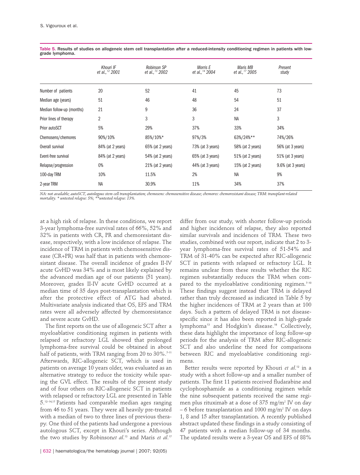|                           | Khouri IF<br>et al., <sup>12</sup> 2001 | <b>Robinson SP</b><br>et al., <sup>13</sup> 2002 | Morris E<br>et al., <sup>14</sup> 2004 | Maris MB<br>et al., <sup>17</sup> 2005 | Present<br>study  |
|---------------------------|-----------------------------------------|--------------------------------------------------|----------------------------------------|----------------------------------------|-------------------|
| Number of patients        | 20                                      | 52                                               | 41                                     | 45                                     | 73                |
| Median age (years)        | 51                                      | 46                                               | 48                                     | 54                                     | 51                |
| Median follow-up (months) | 21                                      | 9                                                | 36                                     | 24                                     | 37                |
| Prior lines of therapy    | 2                                       | 3                                                | 3                                      | <b>NA</b>                              | 3                 |
| Prior autoSCT             | 5%                                      | 29%                                              | 37%                                    | 33%                                    | 34%               |
| Chemosens/chemores        | 90%/10%                                 | 85%/10%*                                         | 97%/3%                                 | 63%/24%**                              | 74%/26%           |
| Overall survival          | 84% (at 2 years)                        | 65% (at 2 years)                                 | 73% (at 3 years)                       | 58% (at 2 years)                       | 56% (at 3 years)  |
| Event-free survival       | 84% (at 2 years)                        | 54% (at 2 years)                                 | 65% (at 3 years)                       | 51% (at 2 years)                       | 51% (at 3 years)  |
| Relapse/progression       | 0%                                      | $21\%$ (at 2 years)                              | 44% (at 3 years)                       | 15% (at 2 years)                       | 9.6% (at 3 years) |
| 100-day TRM               | 10%                                     | 11.5%                                            | 2%                                     | NA                                     | 9%                |
| 2-year TRM                | <b>NA</b>                               | 30.9%                                            | 11%                                    | 34%                                    | 37%               |

Table 5. Results of studies on allogeneic stem cell transplantation after a reduced-intensity conditioning regimen in patients with lowgrade lymphoma.

NA: not available; autoSCT, autologous stem cell transplantation; chemosens: chemosensitive disease; chemoresistant disease; TRM: transplant-related<br>mortality. \* untested relapse: 5%; \*\*untested relapse: 13%.

at a high risk of relapse. In these conditions, we report 3-year lymphoma-free survival rates of 66%, 52% and 32% in patients with CR, PR and chemoresistant disease, respectively, with a low incidence of relapse. The incidence of TRM in patients with chemosensitive disease (CR+PR) was half that in patients with chemoresistant disease. The overall incidence of grades II-IV acute GvHD was 34% and is most likely explained by the advanced median age of our patients (51 years). Moreover, grades II-IV acute GvHD occurred at a median time of 35 days post-transplantation which is after the protective effect of ATG had abated. Multivariate analysis indicated that OS, EFS and TRM rates were all adversely affected by chemoresistance and severe acute GvHD.

The first reports on the use of allogeneic SCT after a myeloablative conditioning regimen in patients with relapsed or refractory LGL showed that prolonged lymphoma-free survival could be obtained in about half of patients, with TRM ranging from 20 to 30%.<sup>7-11</sup> Afterwards, RIC-allogeneic SCT, which is used in patients on average 10 years older, was evaluated as an alternative strategy to reduce the toxicity while sparing the GVL effect. The results of the present study and of four others on RIC-allogeneic SCT in patients with relapsed or refractory LGL are presented in Table 5.12-14,17 Patients had comparable median ages ranging from 46 to 51 years. They were all heavily pre-treated with a median of two to three lines of previous therapy. One third of the patients had undergone a previous autologous SCT, except in Khouri's series. Although the two studies by Robinson*et al*. <sup>13</sup> and Maris *et al*. 17

differ from our study, with shorter follow-up periods and higher incidences of relapse, they also reported similar survivals and incidences of TRM. These two studies, combined with our report, indicate that 2 to 3 year lymphoma-free survival rates of 51-54% and TRM of 31-40% can be expected after RIC-allogeneic SCT in patients with relapsed or refractory LGL. It remains unclear from these results whether the RIC regimen substantially reduces the TRM when compared to the myeloablative conditioning regimen.<sup>7-10</sup> These findings suggest instead that TRM is delayed rather than truly decreased as indicated in Table 5 by the higher incidences of TRM at 2 years than at 100 days. Such a pattern of delayed TRM is not diseasespecific since it has also been reported in high-grade lymphoma<sup>13</sup> and Hodgkin's disease.<sup>18</sup> Collectively, these data highlight the importance of long follow-up periods for the analysis of TRM after RIC-allogeneic SCT and also underline the need for comparisons between RIC and myeloablative conditioning regimens.

Better results were reported by Khouri *et al*. <sup>12</sup> in a study with a short follow-up and a smaller number of patients. The first 11 patients received fludarabine and cyclophosphamide as a conditioning regimen while the nine subsequent patients received the same regimen plus rituximab at a dose of  $375 \text{ mg/m}^2$  IV on day – 6 before transplantation and  $1000 \text{ mg/m}^2$  IV on days 1, 8 and 15 after transplantation. A recently published abstract updated these findings in a study consisting of 47 patients with a median follow-up of 34 months. The updated results were a 3-year OS and EFS of 88%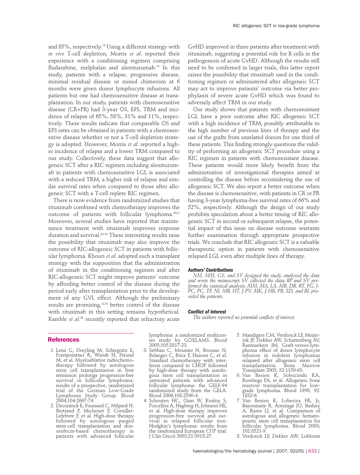and 85%, respectively.<sup>19</sup> Using a different strategy with *in vivo* T-cell depletion, Morris *et al*. reported their experience with a conditioning regimen comprising fludarabine, melphalan and alemtuzumab.<sup>14</sup> In this study, patients with a relapse, progressive disease, minimal residual disease or mixed chimerism at 6 months were given donor lymphocyte infusions. All patients but one had chemosensitive disease at transplantation. In our study, patients with chemosensitive disease (CR+PR) had 3-year OS, EFS, TRM and incidence of relapse of 65%, 58%, 31% and 11%, respectively. These results indicate that comparable OS and EFS rates can be obtained in patients with a chemosensitive disease whether or not a T-cell depletion strategy is adopted. However, Morris *et al*. reported a higher incidence of relapse and a lower TRM compared to our study. Collectively, these data suggest that allogeneic SCT after a RIC regimen including alemtuzumab in patients with chemosensitive LGL is associated with a reduced TRM, a higher risk of relapse and similar survival rates when compared to those after allogeneic SCT with a T-cell replete RIC regimen.

There is now evidence from randomized studies that rituximab combined with chemotherapy improves the outcome of patients with follicular lymphoma.<sup>20,21</sup> Moreover, several studies have reported that maintenance treatment with rituximab improves response duration and survival.22-25 These interesting results raise the possibility that rituximab may also improve the outcome of RIC-allogeneic SCT in patients with follicular lymphoma. Khouri *et al*. adopted such a transplant strategy with the supposition that the administration of rituximab in the conditioning regimen and after RIC-allogeneic SCT might improve patients' outcome by affording better control of the disease during the period early after transplantation prior to the development of any GVL effect. Although the preliminary results are promising,12,19 better control of the disease with rituximab in this setting remains hypothetical. Kamble *et al*. <sup>26</sup> recently reported that refractory acute

GvHD improved in three patients after treatment with rituximab, suggesting a potential role for B cells in the pathogenesis of acute GvHD. Although the results still need to be confirmed in larger trials, this latter report raises the possibility that rituximab used in the conditioning regimen or administered after allogeneic SCT may act to improve patients' outcome via better prophylaxis of severe acute GvHD which was found to adversely affect TRM in our study.

Our study shows that patients with chemoresistant LGL have a poor outcome after RIC allogeneic SCT with a high incidence of TRM, possibly attributable to the high number of previous lines of therapy and the use of the grafts from unrelated donors for one third of these patients. This finding strongly questions the validity of performing an allogeneic SCT procedure using a RIC regimen in patients with chemoresistant disease. These patients would more likely benefit from the administration of investigational therapies aimed at controlling the disease before reconsidering the use of allogeneic SCT. We also report a better outcome when the disease is chemosensitive, with patients in CR or PR having 3-year lymphoma-free survival rates of 66% and 52%, respectively. Although the design of our study prohibits speculation about a better timing of RIC allogeneic SCT in second or subsequent relapse, the potential impact of this issue on disease outcome warrants further examination through appropriate prospective trials. We conclude that RIC allogeneic SCT is a valuable therapeutic option in patients with chemosensitive relapsed LGL even after multiple lines of therapy.

## *Authors' Contributions*

*NM, MM, GS, and SV designed the study, analyzed the data and wrote the manuscript; SV collected the data; RP and SV performed the statistical analysis; MM, MA, LA, MB, DB, RT, FG, J-PC, PC, TF, NI, MR, HT, J-PV, MK, J-HB, PB, ED, and BL provided the patients.* 

#### *Conflict of Interest*

*The authors reported no potential conflicts of interest.*

#### **References**

- 1. Lenz G, Dreyling M, Schiegnitz E, Forstpointner R, Wandt H, Freund M, et al. Myeloablative radiochemotherapy followed by autologous stem cell transplantation in first remission prolongs progression-free survival in follicular lymphoma: results of a prospective, randomized trial of the German Low-Grade Lymphoma Study Group. Blood 2004;104:2667-74.
- 2. Deconinck E, Foussard C, Milpied N, Bertrand P, Michenet P, Cornillet-Lefebvre P, et al. High-dose therapy followed by autologous purged stem-cell transplantation and doxorubicin-based chemotherapy in patients with advanced follicular

lymphoma: a randomized multicenter study by GOELAMS. Blood 2005;105:3817-23.

- 3. Sebban C, Mounier N, Brousse N, Belanger C, Brice P, Haioun C, et al. Standard chemotherapy with interferon compared to CHOP followed by high-dose therapy with autologous stem cell transplantation in untreated patients with advanced follicular lymphoma: the GELF-94 randomized study from the GELA. Blood 2006;108:2540-4.
- 4. Schouten HC, Qian W, Kvaloy S, Porcellini A, Hagberg H, Johnson HE, et al. High-dose therapy improves progression-free survival and survival in relapsed follicular non-Hodgkin's lymphoma: results from the randomized European CUP trial. J Clin Oncol 2003;21:3918-27.
- 5. Mandigers CM, Verdonck LF, Meijerink JP, Dekker AW, Schattenberg AV, Raemaekers JM. Graft-versus-lymphoma effect of donor lymphocyte infusion in indolent lymphomas relapsed after allogeneic stem cell transplantation. Bone Marrow Transplant 2003; 32:1159-63.
- 6. Van Besien K, Sobocinski KA, Rowlings PA, et al. Allogeneic bone marrow transplantation for lowgrade lymphoma. Blood 1998; 92: 1832-6.
- 7. Van Besien K, Loberiza FR, Jr, Bajorunaite R, Armitage JO, Bashey A, Burns LJ, et al. Comparison of autologous and allogeneic hematopoietic stem cell transplantation for follicular lymphoma. Blood 2003; 102:3521-9.
- 8. Verdonck LF, Dekker AW, Lokhorst